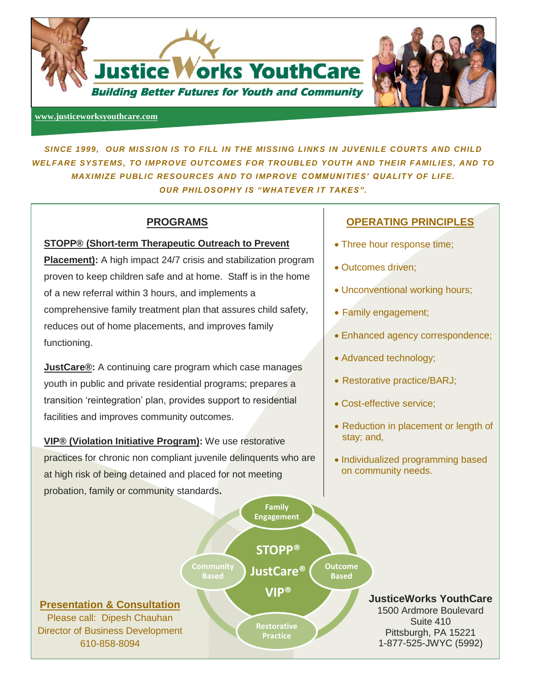

#### **[www.justiceworksyouthcare.com](file:///E:/Dipesh/www.justiceworksyouthcare.com)**

*SINCE 1999, OUR MISSION IS TO FILL IN THE MISSING LINKS IN JUVENILE COURTS AND CHILD WELFARE SYSTEMS, TO IMPROVE OUTCOMES FOR TROUBLED YOUTH AND THEIR FAMILIES, AND TO MAXIMIZE PUBLIC RESOURCES AND TO IMPROVE COMMUNITIES' QUALITY OF LIFE. OUR PHILOSOPHY IS "WHATEVER IT TAKES" .*

## **PROGRAMS**

#### **STOPP® (Short-term Therapeutic Outreach to Prevent**

**Placement):** A high impact 24/7 crisis and stabilization program proven to keep children safe and at home. Staff is in the home of a new referral within 3 hours, and implements a comprehensive family treatment plan that assures child safety, reduces out of home placements, and improves family functioning.

**JustCare®:** A continuing care program which case manages youth in public and private residential programs; prepares a transition 'reintegration' plan, provides support to residential facilities and improves community outcomes.

®®®® probation, family or community standards**. VIP® (Violation Initiative Program):** We use restorative practices for chronic non compliant juvenile delinquents who are at high risk of being detained and placed for not meeting

## **OPERATING PRINCIPLES**

- Three hour response time;
- Outcomes driven;

- Unconventional working hours;
- Family engagement;
- Enhanced agency correspondence;
- Advanced technology;
- Restorative practice/BARJ;
- Cost-effective service;
- Reduction in placement or length of stay; and,
- Individualized programming based on community needs.